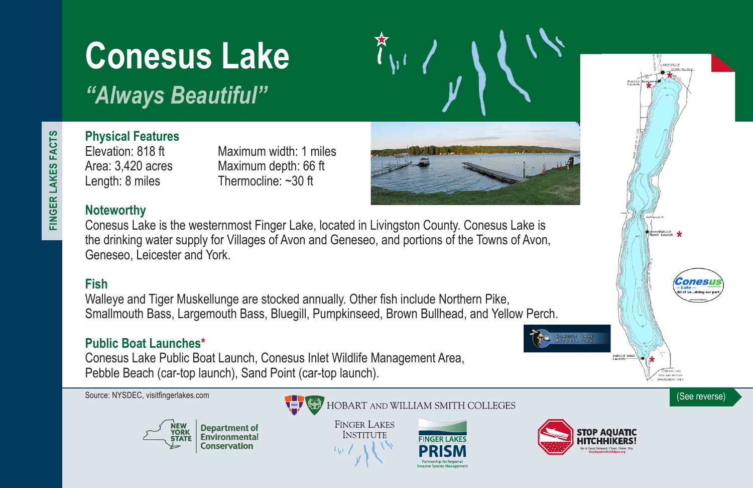# **Conesus Lake**

*"Always Beautiful"*

FINGER LAKES FACTS **FINGER LAKES FACTS**

# **Physical Features**

Elevation: 818 ft Maximum width: 1 miles Area: 3,420 acres Maximum depth: 66 ft Length: 8 miles Thermocline: ~30 ft

## **Noteworthy**

Conesus Lake is the westernmost Finger Lake, located in Livingston County. Conesus Lake is the drinking water supply for Villages of Avon and Geneseo, and portions of the Towns of Avon, Geneseo, Leicester and York.

# **Fish**

Walleye and Tiger Muskellunge are stocked annually. Other fish include Northern Pike, Smallmouth Bass, Largemouth Bass, Bluegill, Pumpkinseed, Brown Bullhead, and Yellow Perch.

## **Public Boat Launches\***

Conesus Lake Public Boat Launch, Conesus Inlet Wildlife Management Area, Pebble Beach (car-top launch), Sand Point (car-top launch).





Source: NYSDEC, visitfingerlakes.com **(See reverse)** (See reverse)

**FINGER LAKES INSTITUTE**